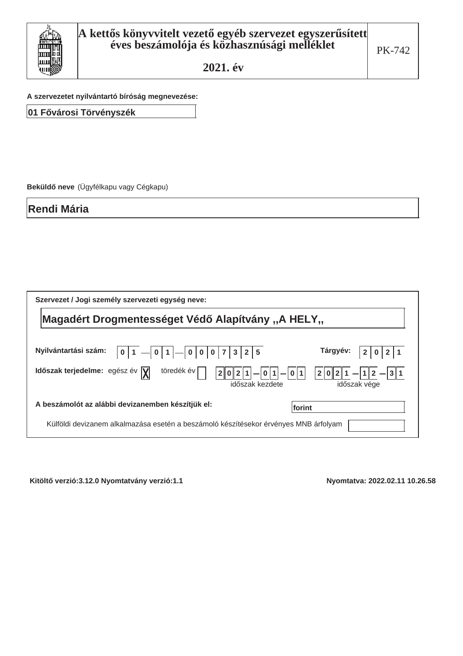

A szervezetet nyilvántartó bíróság megnevezése:

01 Fővárosi Törvényszék

Beküldő neve (Ügyfélkapu vagy Cégkapu)

**Rendi Mária** 

| Szervezet / Jogi személy szervezeti egység neve:                                                                       |                              |  |  |  |
|------------------------------------------------------------------------------------------------------------------------|------------------------------|--|--|--|
| Magadért Drogmentességet Védő Alapítvány "A HELY"                                                                      |                              |  |  |  |
|                                                                                                                        |                              |  |  |  |
| Nyilvántartási szám:<br>5<br>$\bf{0}$<br>3<br>0<br>$\overline{0}$                                                      | Tárgyév:                     |  |  |  |
| Időszak terjedelme: egész év $\sqrt{\mathbf{y}}$<br>töredék év<br>$\mathbf{1}$<br>0 2<br> 0 1 <br>2<br>időszak kezdete | 2 0 2 1<br>3<br>időszak vége |  |  |  |
| A beszámolót az alábbi devizanemben készítjük el:<br>lforint                                                           |                              |  |  |  |
| Külföldi devizanem alkalmazása esetén a beszámoló készítésekor érvényes MNB árfolyam                                   |                              |  |  |  |

Kitöltő verzió:3.12.0 Nyomtatvány verzió:1.1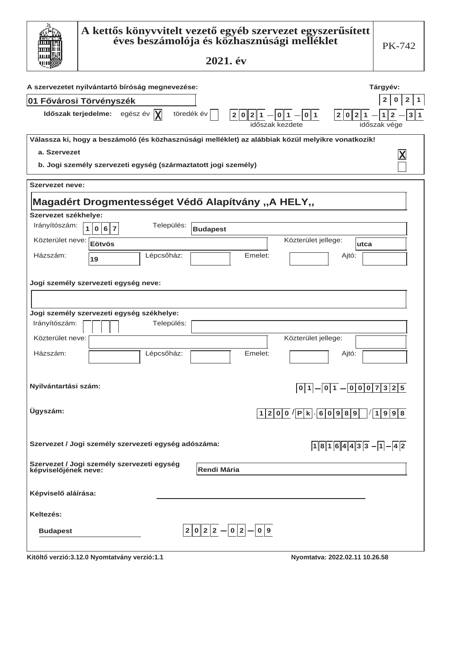|                         | A kettős könyvvitelt vezető egyéb szervezet egyszerűsített<br>éves beszámolója és közhasznúsági melléklet<br>2021. év   | PK-742                                                |
|-------------------------|-------------------------------------------------------------------------------------------------------------------------|-------------------------------------------------------|
|                         | A szervezetet nyilvántartó bíróság megnevezése:                                                                         | Tárgyév:                                              |
| 01 Fővárosi Törvényszék |                                                                                                                         | $\overline{2}$<br>0<br>2 <sub>1</sub><br>$\mathbf{1}$ |
|                         | töredék év<br>Időszak terjedelme: egész év $ \chi $<br>$2 0 2 1  -  0 1  -  0 1 $ $ 2 0 2 1  -  1 2$<br>időszak kezdete | 3 1<br>időszak vége                                   |
|                         | Válassza ki, hogy a beszámoló (és közhasznúsági melléklet) az alábbiak közül melyikre vonatkozik!                       |                                                       |
| a. Szervezet            |                                                                                                                         | X                                                     |
|                         | b. Jogi személy szervezeti egység (származtatott jogi személy)                                                          |                                                       |
| <b>Szervezet neve:</b>  |                                                                                                                         |                                                       |
|                         | Magadért Drogmentességet Védő Alapítvány "A HELY"                                                                       |                                                       |
| Szervezet székhelye:    |                                                                                                                         |                                                       |
| Irányítószám:           | Település:<br>$\mathbf{1}$<br>0 6 7<br><b>Budapest</b>                                                                  |                                                       |
| Közterület neve:        | Közterület jellege:<br>Eötvös<br>lutca                                                                                  |                                                       |
| Házszám:                | Lépcsőház:<br>Emelet:<br>Ajtó:<br>19                                                                                    |                                                       |
|                         | Jogi személy szervezeti egység neve:                                                                                    |                                                       |
|                         | Jogi személy szervezeti egység székhelye:                                                                               |                                                       |
| Irányítószám:           | Település:                                                                                                              |                                                       |
| Közterület neve:        | Közterület jellege:                                                                                                     |                                                       |
| Házszám:                | Lépcsőház:<br>Emelet:<br>Ajtó:                                                                                          |                                                       |
| Nyilvántartási szám:    | $0 1 $ $ 0 1 $ $ 0 0 0 7 3 2 5$                                                                                         |                                                       |
| Ügyszám:                | $1200$ $ P k$ $60989$ $ 19998$                                                                                          |                                                       |
|                         | Szervezet / Jogi személy szervezeti egység adószáma:<br>$18164433-1-42$                                                 |                                                       |
|                         | Szervezet / Jogi személy szervezeti egység<br>képviselőjének neve:<br><b>Rendi Mária</b>                                |                                                       |
| Képviselő aláírása:     |                                                                                                                         |                                                       |
| Keltezés:               |                                                                                                                         |                                                       |
| <b>Budapest</b>         | $2 0 2 2 - 0 2 - 0 9$                                                                                                   |                                                       |
|                         | Kitöltő verzió:3.12.0 Nyomtatvány verzió:1.1<br>Nyomtatva: 2022.02.11 10.26.58                                          |                                                       |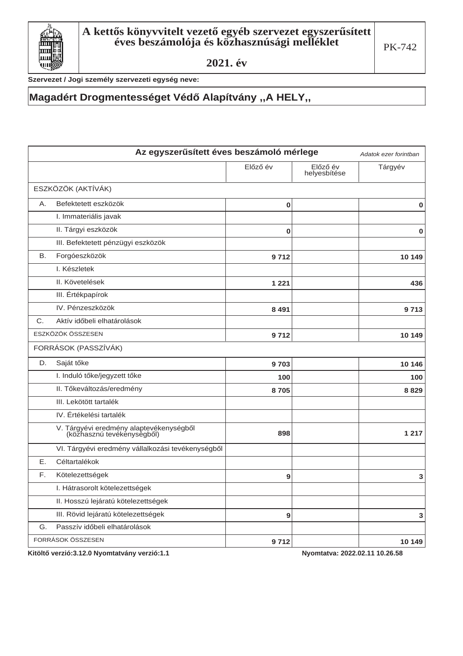

Szervezet / Jogi személy szervezeti egység neve:

### **Magadért Drogmentességet Védő Alapítvány "A HELY"**

|    | Az egyszerűsített éves beszámoló mérlege                              |             |                          |         |  |
|----|-----------------------------------------------------------------------|-------------|--------------------------|---------|--|
|    |                                                                       | Előző év    | Előző év<br>helyesbítése | Tárgyév |  |
|    | ESZKÖZÖK (AKTÍVÁK)                                                    |             |                          |         |  |
| A. | Befektetett eszközök                                                  | $\bf{0}$    |                          | 0       |  |
|    | I. Immateriális javak                                                 |             |                          |         |  |
|    | II. Tárgyi eszközök                                                   | $\mathbf 0$ |                          | 0       |  |
|    | III. Befektetett pénzügyi eszközök                                    |             |                          |         |  |
| В. | Forgóeszközök                                                         | 9 7 1 2     |                          | 10 149  |  |
|    | I. Készletek                                                          |             |                          |         |  |
|    | II. Követelések                                                       | 1 2 2 1     |                          | 436     |  |
|    | III. Értékpapírok                                                     |             |                          |         |  |
|    | IV. Pénzeszközök                                                      | 8 4 9 1     |                          | 9713    |  |
| C. | Aktív időbeli elhatárolások                                           |             |                          |         |  |
|    | ESZKÖZÖK ÖSSZESEN                                                     | 9 7 1 2     |                          | 10 149  |  |
|    | FORRÁSOK (PASSZÍVÁK)                                                  |             |                          |         |  |
| D. | Saját tőke                                                            | 9703        |                          | 10 146  |  |
|    | I. Induló tőke/jegyzett tőke                                          | 100         |                          | 100     |  |
|    | II. Tőkeváltozás/eredmény                                             | 8705        |                          | 8829    |  |
|    | III. Lekötött tartalék                                                |             |                          |         |  |
|    | IV. Értékelési tartalék                                               |             |                          |         |  |
|    | V. Tárgyévi eredmény alaptevékenységből<br>(közhasznú tevékenységből) | 898         |                          | 1 2 1 7 |  |
|    | VI. Tárgyévi eredmény vállalkozási tevékenységből                     |             |                          |         |  |
| Е. | Céltartalékok                                                         |             |                          |         |  |
| F. | Kötelezettségek                                                       | 9           |                          | 3       |  |
|    | I. Hátrasorolt kötelezettségek                                        |             |                          |         |  |
|    | II. Hosszú lejáratú kötelezettségek                                   |             |                          |         |  |
|    | III. Rövid lejáratú kötelezettségek                                   | 9           |                          | 3       |  |
| G. | Passzív időbeli elhatárolások                                         |             |                          |         |  |
|    | FORRÁSOK ÖSSZESEN                                                     | 9 7 1 2     |                          | 10 149  |  |

Kitöltő verzió:3.12.0 Nyomtatvány verzió:1.1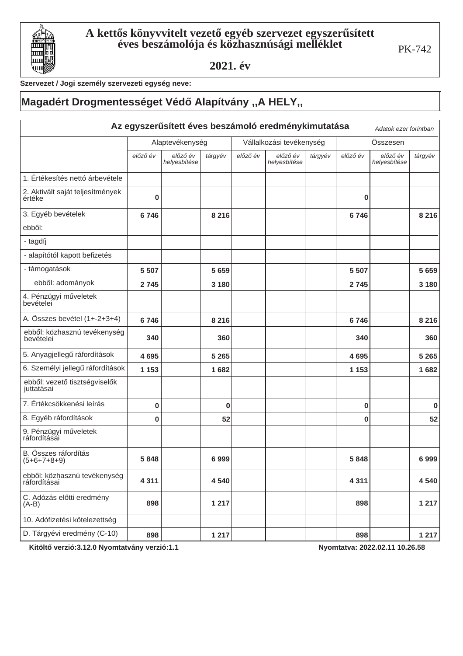

Szervezet / Jogi személy szervezeti egység neve:

# **Magadért Drogmentességet Védő Alapítvány "A HELY"**

| Az egyszerűsített éves beszámoló eredménykimutatása<br>Adatok ezer forintban |                 |                          |                          |          |                          |         |          |                          |             |
|------------------------------------------------------------------------------|-----------------|--------------------------|--------------------------|----------|--------------------------|---------|----------|--------------------------|-------------|
|                                                                              | Alaptevékenység |                          | Vállalkozási tevékenység |          | Összesen                 |         |          |                          |             |
|                                                                              | előző év        | előző év<br>helyesbítése | tárgyév                  | előző év | előző év<br>helyesbítése | tárgyév | előző év | előző év<br>helyesbítése | tárgyév     |
| 1. Értékesítés nettó árbevétele                                              |                 |                          |                          |          |                          |         |          |                          |             |
| 2. Aktivált saját teljesítmények<br>értéke                                   | $\bf{0}$        |                          |                          |          |                          |         | 0        |                          |             |
| 3. Egyéb bevételek                                                           | 6746            |                          | 8 2 1 6                  |          |                          |         | 6746     |                          | 8 2 1 6     |
| ebből:                                                                       |                 |                          |                          |          |                          |         |          |                          |             |
| - tagdíj                                                                     |                 |                          |                          |          |                          |         |          |                          |             |
| - alapítótól kapott befizetés                                                |                 |                          |                          |          |                          |         |          |                          |             |
| - támogatások                                                                | 5 5 0 7         |                          | 5 6 5 9                  |          |                          |         | 5 5 0 7  |                          | 5 6 5 9     |
| ebből: adományok                                                             | 2 7 4 5         |                          | 3 1 8 0                  |          |                          |         | 2 7 4 5  |                          | 3 1 8 0     |
| 4. Pénzügyi műveletek<br>bevételei                                           |                 |                          |                          |          |                          |         |          |                          |             |
| A. Összes bevétel (1+-2+3+4)                                                 | 6746            |                          | 8 2 1 6                  |          |                          |         | 6746     |                          | 8 2 1 6     |
| ebből: közhasznú tevékenység<br>bevételei                                    | 340             |                          | 360                      |          |                          |         | 340      |                          | 360         |
| 5. Anyagjellegű ráfordítások                                                 | 4695            |                          | 5 2 6 5                  |          |                          |         | 4695     |                          | 5 2 6 5     |
| 6. Személyi jellegű ráfordítások                                             | 1 1 5 3         |                          | 1682                     |          |                          |         | 1 1 5 3  |                          | 1682        |
| ebből: vezető tisztségviselők<br>juttatásai                                  |                 |                          |                          |          |                          |         |          |                          |             |
| 7. Értékcsökkenési leírás                                                    | 0               |                          | $\bf{0}$                 |          |                          |         | 0        |                          | $\mathbf 0$ |
| 8. Egyéb ráfordítások                                                        | 0               |                          | 52                       |          |                          |         | 0        |                          | 52          |
| 9. Pénzügyi műveletek<br>ráfordításai                                        |                 |                          |                          |          |                          |         |          |                          |             |
| B. Összes ráfordítás<br>$(5+6+7+8+9)$                                        | 5848            |                          | 6999                     |          |                          |         | 5848     |                          | 6999        |
| ebből: közhasznú tevékenység<br>ráfordításai                                 | 4 3 1 1         |                          | 4540                     |          |                          |         | 4 3 1 1  |                          | 4 5 4 0     |
| C. Adózás előtti eredmény<br>$(A-B)$                                         | 898             |                          | 1 2 1 7                  |          |                          |         | 898      |                          | 1217        |
| 10. Adófizetési kötelezettség                                                |                 |                          |                          |          |                          |         |          |                          |             |
| D. Tárgyévi eredmény (C-10)                                                  | 898             |                          | 1 2 1 7                  |          |                          |         | 898      |                          | 1 2 1 7     |

Kitöltő verzió:3.12.0 Nyomtatvány verzió:1.1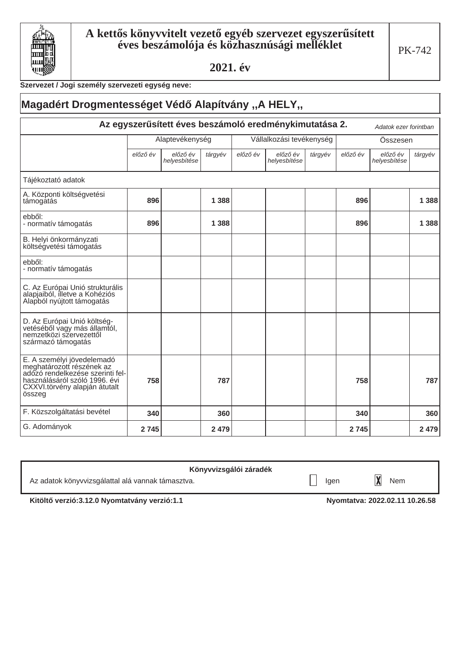

#### Szervezet / Jogi személy szervezeti egység neve:

#### Magadért Drogmentességet Védő Alapítvány "A HELY" Az egyszerűsített éves beszámoló eredménykimutatása 2. Adatok ezer forintban Alaptevékenység Vállalkozási tevékenység Összesen előző év előző év előző év előző év előző év tárgyév előző év tárgyév tárgyév helyesbítése helyesbítése helyesbítése Tájékoztató adatok A. Központi költségvetési 896 1388 896 támogatás 1 3 8 8 ebből: 896 1388 896 1388 - normatív támogatás B. Helyi önkormányzati költségvetési támogatás ebből: - normatív támogatás C. Az Európai Unió strukturális alapjaiból, illetve a Kohéziós Alapból nyújtott támogatás D. Az Európai Unió költség-<br>vetéséből vagy más államtól, nemzetközi szervezettől származó támogatás E. A személyi jövedelemadó meghatározott részének az adózó rendelkezése szerinti fel-<br>használásáról szóló 1996. évi 758 787 758 787 CXXVI.törvény alapján átutalt összeg F. Közszolgáltatási bevétel 340 360 340 360 G. Adományok 2 7 4 5 2 4 7 9 2 7 4 5 2 4 7 9

| Könyvvizsgálói záradék                            |      |     |
|---------------------------------------------------|------|-----|
| Az adatok könyvvizsgálattal alá vannak támasztva. | laer | Nem |

Kitöltő verzió:3.12.0 Nyomtatvány verzió:1.1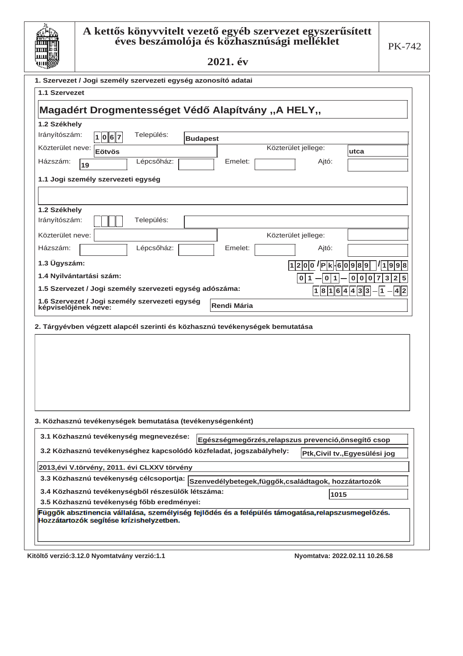

### ${\bf A}$  kettős könyvvitelt vezető egyéb szervezet egyszerűsített éves beszámolója és közhasznúsági melléklet

2021. év

| 1. Szervezet / Jogi személy szervezeti egység azonosító adatai                                                                                 |                               |                                         |  |  |
|------------------------------------------------------------------------------------------------------------------------------------------------|-------------------------------|-----------------------------------------|--|--|
| 1.1 Szervezet                                                                                                                                  |                               |                                         |  |  |
|                                                                                                                                                |                               |                                         |  |  |
| Magadért Drogmentességet Védő Alapítvány "A HELY"                                                                                              |                               |                                         |  |  |
| 1.2 Székhely                                                                                                                                   |                               |                                         |  |  |
| Irányítószám:<br>Település:<br> 1 0 6 7<br><b>Budapest</b>                                                                                     |                               |                                         |  |  |
| Közterület neve: Eötvös                                                                                                                        | Közterület jellege:           | utca                                    |  |  |
| Lépcsőház:<br>Házszám:<br>Emelet:                                                                                                              | Ajtó:                         |                                         |  |  |
| 19                                                                                                                                             |                               |                                         |  |  |
| 1.1 Jogi személy szervezeti egység                                                                                                             |                               |                                         |  |  |
|                                                                                                                                                |                               |                                         |  |  |
| 1.2 Székhely                                                                                                                                   |                               |                                         |  |  |
| Irányítószám:<br>Település:                                                                                                                    |                               |                                         |  |  |
| Közterület neve:                                                                                                                               | Közterület jellege:           |                                         |  |  |
| Lépcsőház:<br>Házszám:<br>Emelet:                                                                                                              | Ajtó:                         |                                         |  |  |
| 1.3 Ügyszám:                                                                                                                                   | $ 1 2 0 0 $ / P k - 6 0 9 8 9 | 9 9 8<br>1                              |  |  |
| 1.4 Nyilvántartási szám:                                                                                                                       | 0                             | 3<br>$\overline{2}$<br>5<br>0<br>0<br>0 |  |  |
| 1.5 Szervezet / Jogi személy szervezeti egység adószáma:                                                                                       |                               |                                         |  |  |
| 1.6 Szervezet / Jogi személy szervezeti egység                                                                                                 | 1 8 1 6 4 4 3 3               | 1<br> 4  2                              |  |  |
| Rendi Mária<br>képviselőjének neve:                                                                                                            |                               |                                         |  |  |
|                                                                                                                                                |                               |                                         |  |  |
| 2. Tárgyévben végzett alapcél szerinti és közhasznú tevékenységek bemutatása                                                                   |                               |                                         |  |  |
|                                                                                                                                                |                               |                                         |  |  |
|                                                                                                                                                |                               |                                         |  |  |
|                                                                                                                                                |                               |                                         |  |  |
|                                                                                                                                                |                               |                                         |  |  |
|                                                                                                                                                |                               |                                         |  |  |
|                                                                                                                                                |                               |                                         |  |  |
| 3. Közhasznú tevékenységek bemutatása (tevékenységenként)                                                                                      |                               |                                         |  |  |
| 3.1 Közhasznú tevékenység megnevezése:                                                                                                         |                               |                                         |  |  |
| Egészségmegőrzés,relapszus prevenció,önsegítő csop                                                                                             |                               |                                         |  |  |
| 3.2 Közhasznú tevékenységhez kapcsolódó közfeladat, jogszabályhely:                                                                            |                               | Ptk,Civil tv.,Egyesülési jog            |  |  |
| 2013, évi V.törvény, 2011. évi CLXXV törvény                                                                                                   |                               |                                         |  |  |
| 3.3 Közhasznú tevékenység célcsoportja: Szenvedélybetegek,függők,családtagok, hozzátartozók                                                    |                               |                                         |  |  |
| 3.4 Közhasznú tevékenységből részesülők létszáma:                                                                                              | 1015                          |                                         |  |  |
| 3.5 Közhasznú tevékenység főbb eredményei:                                                                                                     |                               |                                         |  |  |
| Függők absztinencia vállalása, személyiség fejlődés és a felépülés támogatása, relapszusmegelőzés.<br>Hozzátartozók segítése krízishelyzetben. |                               |                                         |  |  |
|                                                                                                                                                |                               |                                         |  |  |
|                                                                                                                                                |                               |                                         |  |  |

Kitöltő verzió:3.12.0 Nyomtatvány verzió:1.1 **bizterinden alakultan alakultan kitöltő** verzió:3.12.0 Nyomtatva: 2022.02.11 10.26.58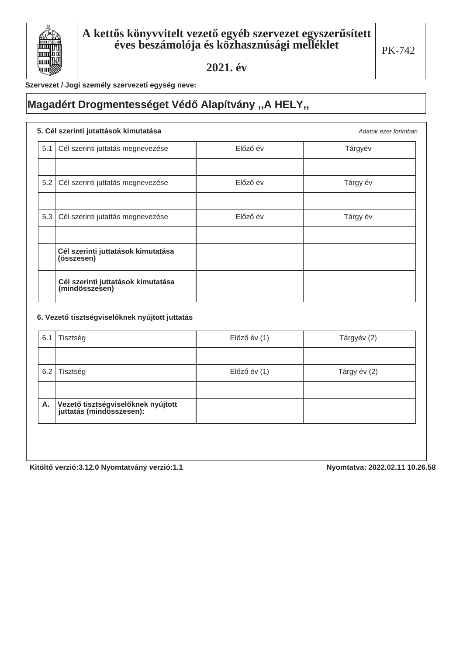

Adatok ezer forintban

Szervezet / Jogi személy szervezeti egység neve:

## **Magadért Drogmentességet Védő Alapítvány "A HELY"**

### **5. Cél szerinti jutattások kimutatása**

| 5.1 | Cél szerinti juttatás megnevezése                    | Előző év | Tárgyév  |
|-----|------------------------------------------------------|----------|----------|
|     |                                                      |          |          |
| 5.2 | Cél szerinti juttatás megnevezése                    | Előző év | Tárgy év |
|     |                                                      |          |          |
| 5.3 | Cél szerinti jutattás megnevezése                    | Előző év | Tárgy év |
|     |                                                      |          |          |
|     | Cél szerinti juttatások kimutatása<br>(összesen)     |          |          |
|     | Cél szerinti juttatások kimutatása<br>(mindösszesen) |          |          |

#### 6. Vezető tisztségviselőknek nyújtott juttatás

| 6.1 | Tisztség                                                         | $El$ őző év $(1)$ | Tárgyév (2)  |
|-----|------------------------------------------------------------------|-------------------|--------------|
|     |                                                                  |                   |              |
| 6.2 | Tisztség                                                         | $El$ őző év $(1)$ | Tárgy év (2) |
|     |                                                                  |                   |              |
| Α.  | Vezető tisztségviselőknek nyújtott<br>  juttatás (mindösszesen): |                   |              |
|     |                                                                  |                   |              |

Kitöltő verzió:3.12.0 Nyomtatvány verzió:1.1 **bizterinden alapítat alamazzat alapítat alamazzat alapítat alapítat a**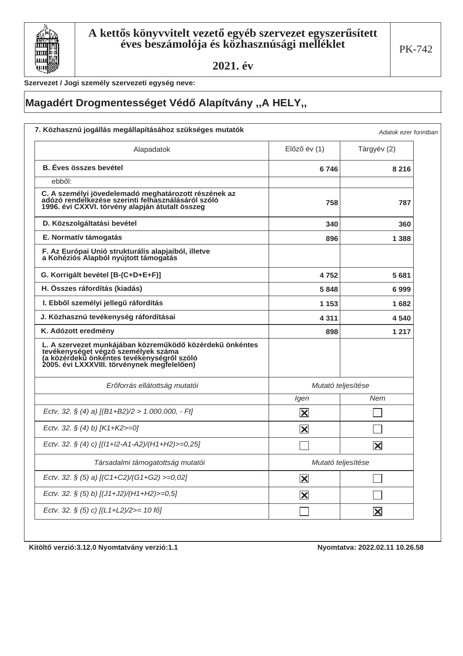

Szervezet / Jogi személy szervezeti egység neve:

# **Magadért Drogmentességet Védő Alapítvány "A HELY"**

| Alapadatok                                                                                                                                                                                   | $El$ őző év $(1)$       | Tárgyév (2)             |
|----------------------------------------------------------------------------------------------------------------------------------------------------------------------------------------------|-------------------------|-------------------------|
| <b>B.</b> Éves összes bevétel                                                                                                                                                                | 6746                    | 8 2 1 6                 |
| ebből:                                                                                                                                                                                       |                         |                         |
| C. A személyi jövedelemadó meghatározott részének az<br>adózó rendelkezése szerinti felhasználásáról szóló<br>1996. évi CXXVI. törvény alapján átutalt összeg                                | 758                     | 787                     |
| D. Közszolgáltatási bevétel                                                                                                                                                                  | 340                     | 360                     |
| E. Normatív támogatás                                                                                                                                                                        | 896                     | 1 388                   |
| F. Az Európai Unió strukturális alapjaiból, illetve<br>a Kohéziós Alapból nyújtott támogatás                                                                                                 |                         |                         |
| G. Korrigált bevétel [B-(C+D+E+F)]                                                                                                                                                           | 4752                    | 5681                    |
| H. Összes ráfordítás (kiadás)                                                                                                                                                                | 5848                    | 6999                    |
| I. Ebből személyi jellegű ráfordítás                                                                                                                                                         | 1 153                   | 1682                    |
| J. Közhasznú tevékenység ráfordításai                                                                                                                                                        | 4 3 1 1                 | 4540                    |
| K. Adózott eredmény                                                                                                                                                                          | 898                     | 1 2 1 7                 |
| L. A szervezet munkájában közreműködő közérdekű önkéntes<br>tevékenységet végző személyek száma<br>(a közérdekű önkéntes tevékenységről szóló<br>2005. évi LXXXVIII. törvénynek megfelelően) |                         |                         |
| Erőforrás ellátottság mutatói                                                                                                                                                                | Mutató teljesítése      |                         |
|                                                                                                                                                                                              | Igen                    | <b>Nem</b>              |
| Ectv. 32. § (4) a) $[(B1+B2)/2 > 1.000.000, -Ft]$                                                                                                                                            | $\vert\mathsf{X}\vert$  |                         |
| Ectv. 32. § (4) b) [K1+K2>=0]                                                                                                                                                                | $\overline{\mathbf{X}}$ |                         |
| Ectv. 32. § (4) c) [(11+12-A1-A2)/(H1+H2)>=0,25]                                                                                                                                             |                         | $\overline{\mathsf{x}}$ |
| Társadalmi támogatottság mutatói                                                                                                                                                             | Mutató teljesítése      |                         |
| Ectv. 32. § (5) a) $[(C1+C2)/(G1+G2)$ >=0,02]                                                                                                                                                | $\overline{\mathbf{X}}$ |                         |
| Ectv. 32. § (5) b) [(J1+J2)/(H1+H2)>=0,5]                                                                                                                                                    | $\mathbf{\overline{X}}$ |                         |
| Ectv. 32. § (5) c) [(L1+L2)/2>= 10 fő]                                                                                                                                                       |                         | $\mathbf{\overline{X}}$ |

Kitöltő verzió: 3.12.0 Nyomtatvány verzió: 1.1